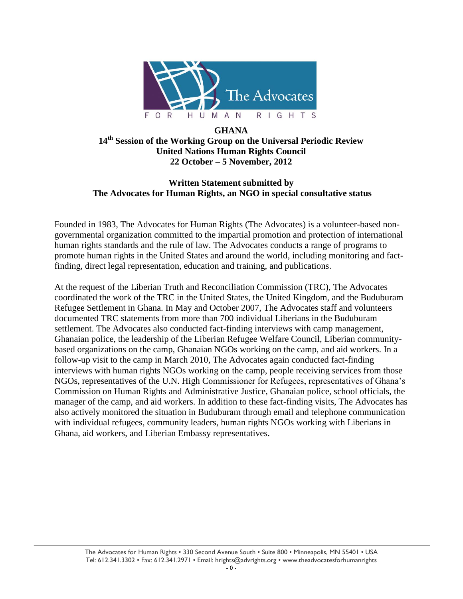

### **GHANA 14th Session of the Working Group on the Universal Periodic Review United Nations Human Rights Council 22 October – 5 November, 2012**

#### **Written Statement submitted by The Advocates for Human Rights, an NGO in special consultative status**

Founded in 1983, The Advocates for Human Rights (The Advocates) is a volunteer-based nongovernmental organization committed to the impartial promotion and protection of international human rights standards and the rule of law. The Advocates conducts a range of programs to promote human rights in the United States and around the world, including monitoring and factfinding, direct legal representation, education and training, and publications.

At the request of the Liberian Truth and Reconciliation Commission (TRC), The Advocates coordinated the work of the TRC in the United States, the United Kingdom, and the Buduburam Refugee Settlement in Ghana. In May and October 2007, The Advocates staff and volunteers documented TRC statements from more than 700 individual Liberians in the Buduburam settlement. The Advocates also conducted fact-finding interviews with camp management, Ghanaian police, the leadership of the Liberian Refugee Welfare Council, Liberian communitybased organizations on the camp, Ghanaian NGOs working on the camp, and aid workers. In a follow-up visit to the camp in March 2010, The Advocates again conducted fact-finding interviews with human rights NGOs working on the camp, people receiving services from those NGOs, representatives of the U.N. High Commissioner for Refugees, representatives of Ghana's Commission on Human Rights and Administrative Justice, Ghanaian police, school officials, the manager of the camp, and aid workers. In addition to these fact-finding visits, The Advocates has also actively monitored the situation in Buduburam through email and telephone communication with individual refugees, community leaders, human rights NGOs working with Liberians in Ghana, aid workers, and Liberian Embassy representatives.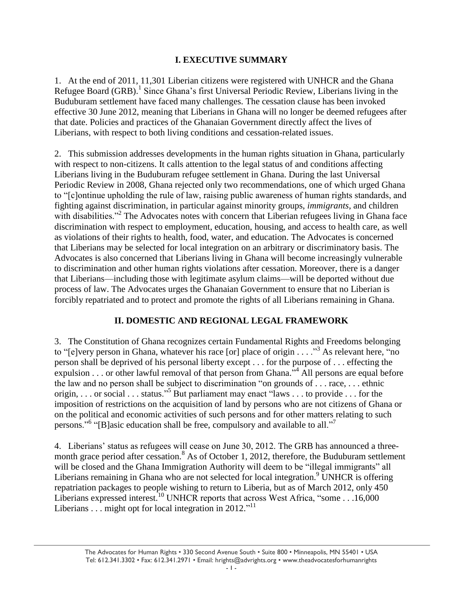#### **I. EXECUTIVE SUMMARY**

1. At the end of 2011, 11,301 Liberian citizens were registered with UNHCR and the Ghana Refugee Board (GRB).<sup>1</sup> Since Ghana's first Universal Periodic Review, Liberians living in the Buduburam settlement have faced many challenges. The cessation clause has been invoked effective 30 June 2012, meaning that Liberians in Ghana will no longer be deemed refugees after that date. Policies and practices of the Ghanaian Government directly affect the lives of Liberians, with respect to both living conditions and cessation-related issues.

2. This submission addresses developments in the human rights situation in Ghana, particularly with respect to non-citizens. It calls attention to the legal status of and conditions affecting Liberians living in the Buduburam refugee settlement in Ghana. During the last Universal Periodic Review in 2008, Ghana rejected only two recommendations, one of which urged Ghana to "[c]ontinue upholding the rule of law, raising public awareness of human rights standards, and fighting against discrimination, in particular against minority groups, *immigrants*, and children with disabilities."<sup>2</sup> The Advocates notes with concern that Liberian refugees living in Ghana face discrimination with respect to employment, education, housing, and access to health care, as well as violations of their rights to health, food, water, and education. The Advocates is concerned that Liberians may be selected for local integration on an arbitrary or discriminatory basis. The Advocates is also concerned that Liberians living in Ghana will become increasingly vulnerable to discrimination and other human rights violations after cessation. Moreover, there is a danger that Liberians—including those with legitimate asylum claims—will be deported without due process of law. The Advocates urges the Ghanaian Government to ensure that no Liberian is forcibly repatriated and to protect and promote the rights of all Liberians remaining in Ghana.

### **II. DOMESTIC AND REGIONAL LEGAL FRAMEWORK**

3. The Constitution of Ghana recognizes certain Fundamental Rights and Freedoms belonging to "[e]very person in Ghana, whatever his race [or] place of origin . . . . "<sup>3</sup> As relevant here, "no person shall be deprived of his personal liberty except . . . for the purpose of . . . effecting the expulsion . . . or other lawful removal of that person from Ghana. $^{5,4}$  All persons are equal before the law and no person shall be subject to discrimination "on grounds of  $\dots$  race,  $\dots$  ethnic origin, . . . or social . . . status."<sup>5</sup> But parliament may enact "laws . . . to provide . . . for the imposition of restrictions on the acquisition of land by persons who are not citizens of Ghana or on the political and economic activities of such persons and for other matters relating to such persons."<sup>6</sup> "[B]asic education shall be free, compulsory and available to all."<sup>7</sup>

4. Liberians' status as refugees will cease on June 30, 2012. The GRB has announced a threemonth grace period after cessation.<sup>8</sup> As of October 1, 2012, therefore, the Buduburam settlement will be closed and the Ghana Immigration Authority will deem to be "illegal immigrants" all Liberians remaining in Ghana who are not selected for local integration.<sup>9</sup> UNHCR is offering repatriation packages to people wishing to return to Liberia, but as of March 2012, only 450 Liberians expressed interest.<sup>10</sup> UNHCR reports that across West Africa, "some . . .16,000 Liberians  $\ldots$  might opt for local integration in 2012."<sup>11</sup>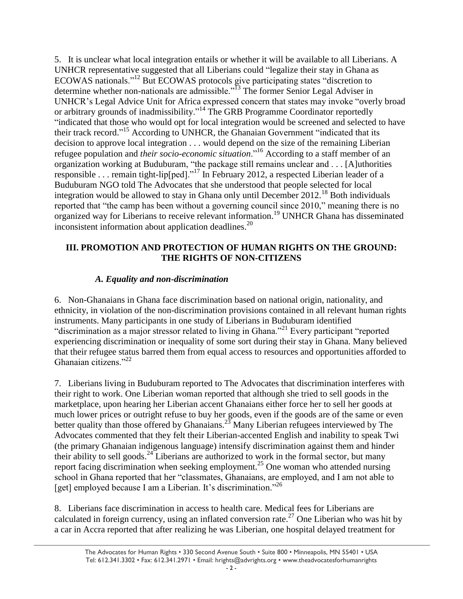5. It is unclear what local integration entails or whether it will be available to all Liberians. A UNHCR representative suggested that all Liberians could "legalize their stay in Ghana as ECOWAS nationals."<sup>12</sup> But ECOWAS protocols give participating states "discretion to determine whether non-nationals are admissible.<sup>"13</sup> The former Senior Legal Adviser in UNHCR's Legal Advice Unit for Africa expressed concern that states may invoke "overly broad or arbitrary grounds of inadmissibility."<sup>14</sup> The GRB Programme Coordinator reportedly ―indicated that those who would opt for local integration would be screened and selected to have their track record."<sup>15</sup> According to UNHCR, the Ghanaian Government "indicated that its decision to approve local integration . . . would depend on the size of the remaining Liberian refugee population and *their socio-economic situation*.<sup>16</sup> According to a staff member of an organization working at Buduburam, "the package still remains unclear and . . . [A]uthorities responsible . . . remain tight-lip[ped]."<sup>17</sup> In February 2012, a respected Liberian leader of a Buduburam NGO told The Advocates that she understood that people selected for local integration would be allowed to stay in Ghana only until December 2012.<sup>18</sup> Both individuals reported that "the camp has been without a governing council since 2010," meaning there is no organized way for Liberians to receive relevant information.<sup>19</sup> UNHCR Ghana has disseminated inconsistent information about application deadlines. 20

### **III. PROMOTION AND PROTECTION OF HUMAN RIGHTS ON THE GROUND: THE RIGHTS OF NON-CITIZENS**

### *A. Equality and non-discrimination*

6. Non-Ghanaians in Ghana face discrimination based on national origin, nationality, and ethnicity, in violation of the non-discrimination provisions contained in all relevant human rights instruments. Many participants in one study of Liberians in Buduburam identified "discrimination as a major stressor related to living in Ghana."<sup>21</sup> Every participant "reported" experiencing discrimination or inequality of some sort during their stay in Ghana. Many believed that their refugee status barred them from equal access to resources and opportunities afforded to Ghanaian citizens."<sup>22</sup>

7. Liberians living in Buduburam reported to The Advocates that discrimination interferes with their right to work. One Liberian woman reported that although she tried to sell goods in the marketplace, upon hearing her Liberian accent Ghanaians either force her to sell her goods at much lower prices or outright refuse to buy her goods, even if the goods are of the same or even better quality than those offered by Ghanaians.<sup>23</sup> Many Liberian refugees interviewed by The Advocates commented that they felt their Liberian-accented English and inability to speak Twi (the primary Ghanaian indigenous language) intensify discrimination against them and hinder their ability to sell goods.<sup>24</sup> Liberians are authorized to work in the formal sector, but many report facing discrimination when seeking employment.<sup>25</sup> One woman who attended nursing school in Ghana reported that her "classmates, Ghanaians, are employed, and I am not able to [get] employed because I am a Liberian. It's discrimination."<sup>26</sup>

8. Liberians face discrimination in access to health care. Medical fees for Liberians are calculated in foreign currency, using an inflated conversion rate.<sup>27</sup> One Liberian who was hit by a car in Accra reported that after realizing he was Liberian, one hospital delayed treatment for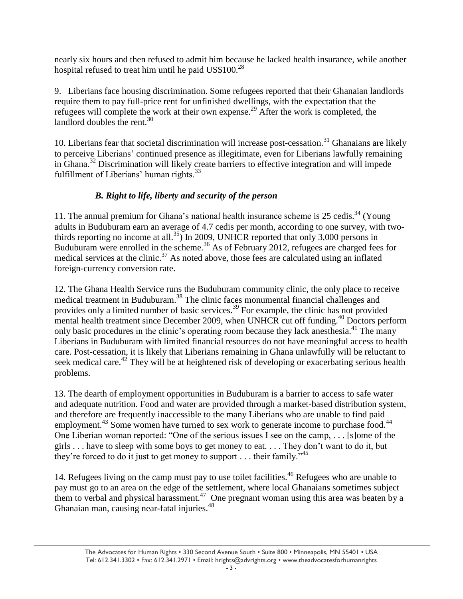nearly six hours and then refused to admit him because he lacked health insurance, while another hospital refused to treat him until he paid  $\text{USS}100^{28}$ 

9. Liberians face housing discrimination. Some refugees reported that their Ghanaian landlords require them to pay full-price rent for unfinished dwellings, with the expectation that the refugees will complete the work at their own expense.<sup>29</sup> After the work is completed, the landlord doubles the rent.<sup>30</sup>

10. Liberians fear that societal discrimination will increase post-cessation. <sup>31</sup> Ghanaians are likely to perceive Liberians' continued presence as illegitimate, even for Liberians lawfully remaining in Ghana.<sup>32</sup> Discrimination will likely create barriers to effective integration and will impede fulfillment of Liberians' human rights. $33$ 

# *B. Right to life, liberty and security of the person*

11. The annual premium for Ghana's national health insurance scheme is  $25 \text{ cedis.}^{34}$  (Young) adults in Buduburam earn an average of 4.7 cedis per month, according to one survey, with twothirds reporting no income at all.<sup>35</sup>) In 2009, UNHCR reported that only 3,000 persons in Buduburam were enrolled in the scheme.<sup>36</sup> As of February 2012, refugees are charged fees for medical services at the clinic. $37$  As noted above, those fees are calculated using an inflated foreign-currency conversion rate.

12. The Ghana Health Service runs the Buduburam community clinic, the only place to receive medical treatment in Buduburam.<sup>38</sup> The clinic faces monumental financial challenges and provides only a limited number of basic services.<sup>39</sup> For example, the clinic has not provided mental health treatment since December 2009, when UNHCR cut off funding.<sup>40</sup> Doctors perform only basic procedures in the clinic's operating room because they lack anesthesia.<sup>41</sup> The many Liberians in Buduburam with limited financial resources do not have meaningful access to health care. Post-cessation, it is likely that Liberians remaining in Ghana unlawfully will be reluctant to seek medical care.<sup>42</sup> They will be at heightened risk of developing or exacerbating serious health problems.

13. The dearth of employment opportunities in Buduburam is a barrier to access to safe water and adequate nutrition. Food and water are provided through a market-based distribution system, and therefore are frequently inaccessible to the many Liberians who are unable to find paid employment.<sup>43</sup> Some women have turned to sex work to generate income to purchase food.<sup>44</sup> One Liberian woman reported: "One of the serious issues I see on the camp,  $\dots$  [s]ome of the girls . . . have to sleep with some boys to get money to eat. . . . They don't want to do it, but they're forced to do it just to get money to support  $\dots$  their family.<sup>45</sup>

14. Refugees living on the camp must pay to use toilet facilities.<sup>46</sup> Refugees who are unable to pay must go to an area on the edge of the settlement, where local Ghanaians sometimes subject them to verbal and physical harassment.<sup>47</sup> One pregnant woman using this area was beaten by a Ghanaian man, causing near-fatal injuries.<sup>48</sup>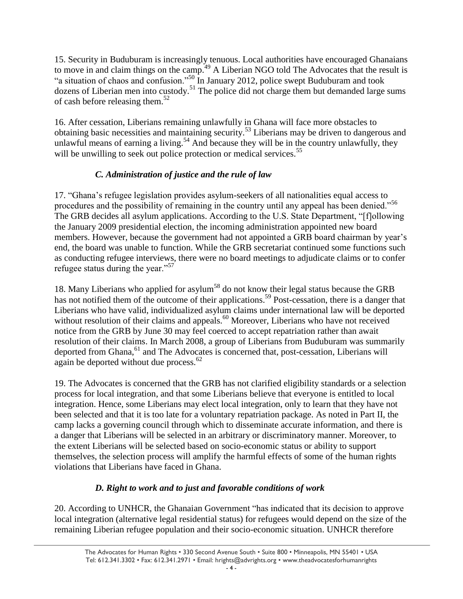15. Security in Buduburam is increasingly tenuous. Local authorities have encouraged Ghanaians to move in and claim things on the camp.<sup>49</sup> A Liberian NGO told The Advocates that the result is "a situation of chaos and confusion."<sup>50</sup> In January 2012, police swept Buduburam and took dozens of Liberian men into custody.<sup>51</sup> The police did not charge them but demanded large sums of cash before releasing them. $52$ 

16. After cessation, Liberians remaining unlawfully in Ghana will face more obstacles to obtaining basic necessities and maintaining security.<sup>53</sup> Liberians may be driven to dangerous and unlawful means of earning a living.<sup>54</sup> And because they will be in the country unlawfully, they will be unwilling to seek out police protection or medical services.<sup>55</sup>

# *C. Administration of justice and the rule of law*

17. "Ghana's refugee legislation provides asylum-seekers of all nationalities equal access to procedures and the possibility of remaining in the country until any appeal has been denied."<sup>56</sup> The GRB decides all asylum applications. According to the U.S. State Department, "[f]ollowing the January 2009 presidential election, the incoming administration appointed new board members. However, because the government had not appointed a GRB board chairman by year's end, the board was unable to function. While the GRB secretariat continued some functions such as conducting refugee interviews, there were no board meetings to adjudicate claims or to confer refugee status during the year."<sup>57</sup>

18. Many Liberians who applied for asylum<sup>58</sup> do not know their legal status because the GRB has not notified them of the outcome of their applications.<sup>59</sup> Post-cessation, there is a danger that Liberians who have valid, individualized asylum claims under international law will be deported without resolution of their claims and appeals.<sup>60</sup> Moreover, Liberians who have not received notice from the GRB by June 30 may feel coerced to accept repatriation rather than await resolution of their claims. In March 2008, a group of Liberians from Buduburam was summarily deported from Ghana,<sup>61</sup> and The Advocates is concerned that, post-cessation, Liberians will again be deported without due process.<sup>62</sup>

19. The Advocates is concerned that the GRB has not clarified eligibility standards or a selection process for local integration, and that some Liberians believe that everyone is entitled to local integration. Hence, some Liberians may elect local integration, only to learn that they have not been selected and that it is too late for a voluntary repatriation package. As noted in Part II, the camp lacks a governing council through which to disseminate accurate information, and there is a danger that Liberians will be selected in an arbitrary or discriminatory manner. Moreover, to the extent Liberians will be selected based on socio-economic status or ability to support themselves, the selection process will amplify the harmful effects of some of the human rights violations that Liberians have faced in Ghana.

# *D. Right to work and to just and favorable conditions of work*

20. According to UNHCR, the Ghanaian Government "has indicated that its decision to approve local integration (alternative legal residential status) for refugees would depend on the size of the remaining Liberian refugee population and their socio-economic situation. UNHCR therefore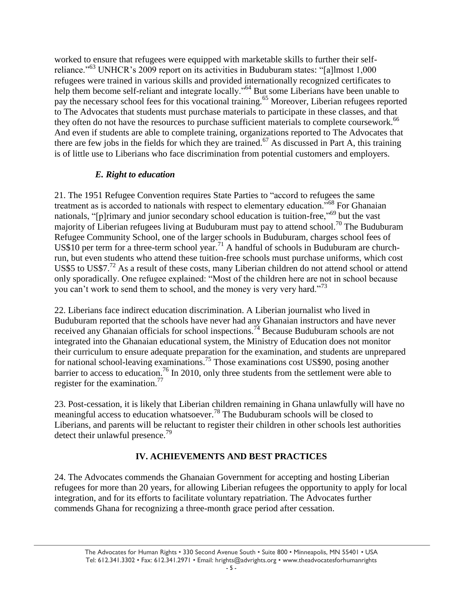worked to ensure that refugees were equipped with marketable skills to further their selfreliance."<sup>63</sup> UNHCR's 2009 report on its activities in Buduburam states: "[a]lmost 1,000 refugees were trained in various skills and provided internationally recognized certificates to help them become self-reliant and integrate locally."<sup>64</sup> But some Liberians have been unable to pay the necessary school fees for this vocational training.<sup>65</sup> Moreover, Liberian refugees reported to The Advocates that students must purchase materials to participate in these classes, and that they often do not have the resources to purchase sufficient materials to complete coursework. 66 And even if students are able to complete training, organizations reported to The Advocates that there are few jobs in the fields for which they are trained.<sup>67</sup> As discussed in Part A, this training is of little use to Liberians who face discrimination from potential customers and employers.

### *E. Right to education*

21. The 1951 Refugee Convention requires State Parties to "accord to refugees the same treatment as is accorded to nationals with respect to elementary education.<sup>568</sup> For Ghanaian nationals, "[p]rimary and junior secondary school education is tuition-free,"<sup>69</sup> but the vast majority of Liberian refugees living at Buduburam must pay to attend school.<sup>70</sup> The Buduburam Refugee Community School, one of the larger schools in Buduburam, charges school fees of US\$10 per term for a three-term school year.<sup>71</sup> A handful of schools in Buduburam are churchrun, but even students who attend these tuition-free schools must purchase uniforms, which cost US\$5 to US\$7.<sup>72</sup> As a result of these costs, many Liberian children do not attend school or attend only sporadically. One refugee explained: "Most of the children here are not in school because you can't work to send them to school, and the money is very very hard.<sup>73</sup>

22. Liberians face indirect education discrimination. A Liberian journalist who lived in Buduburam reported that the schools have never had any Ghanaian instructors and have never received any Ghanaian officials for school inspections.<sup>74</sup> Because Buduburam schools are not integrated into the Ghanaian educational system, the Ministry of Education does not monitor their curriculum to ensure adequate preparation for the examination, and students are unprepared for national school-leaving examinations.<sup>75</sup> Those examinations cost US\$90, posing another barrier to access to education.<sup>76</sup> In 2010, only three students from the settlement were able to register for the examination.<sup>77</sup>

23. Post-cessation, it is likely that Liberian children remaining in Ghana unlawfully will have no meaningful access to education whatsoever.<sup>78</sup> The Buduburam schools will be closed to Liberians, and parents will be reluctant to register their children in other schools lest authorities detect their unlawful presence.<sup>79</sup>

### **IV. ACHIEVEMENTS AND BEST PRACTICES**

24. The Advocates commends the Ghanaian Government for accepting and hosting Liberian refugees for more than 20 years, for allowing Liberian refugees the opportunity to apply for local integration, and for its efforts to facilitate voluntary repatriation. The Advocates further commends Ghana for recognizing a three-month grace period after cessation.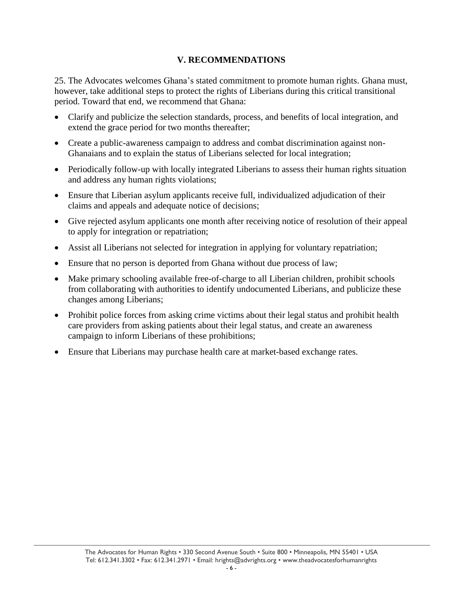### **V. RECOMMENDATIONS**

25. The Advocates welcomes Ghana's stated commitment to promote human rights. Ghana must, however, take additional steps to protect the rights of Liberians during this critical transitional period. Toward that end, we recommend that Ghana:

- Clarify and publicize the selection standards, process, and benefits of local integration, and extend the grace period for two months thereafter;
- Create a public-awareness campaign to address and combat discrimination against non-Ghanaians and to explain the status of Liberians selected for local integration;
- Periodically follow-up with locally integrated Liberians to assess their human rights situation and address any human rights violations;
- Ensure that Liberian asylum applicants receive full, individualized adjudication of their claims and appeals and adequate notice of decisions;
- Give rejected asylum applicants one month after receiving notice of resolution of their appeal to apply for integration or repatriation;
- Assist all Liberians not selected for integration in applying for voluntary repatriation;
- Ensure that no person is deported from Ghana without due process of law;
- Make primary schooling available free-of-charge to all Liberian children, prohibit schools from collaborating with authorities to identify undocumented Liberians, and publicize these changes among Liberians;
- Prohibit police forces from asking crime victims about their legal status and prohibit health care providers from asking patients about their legal status, and create an awareness campaign to inform Liberians of these prohibitions;
- Ensure that Liberians may purchase health care at market-based exchange rates.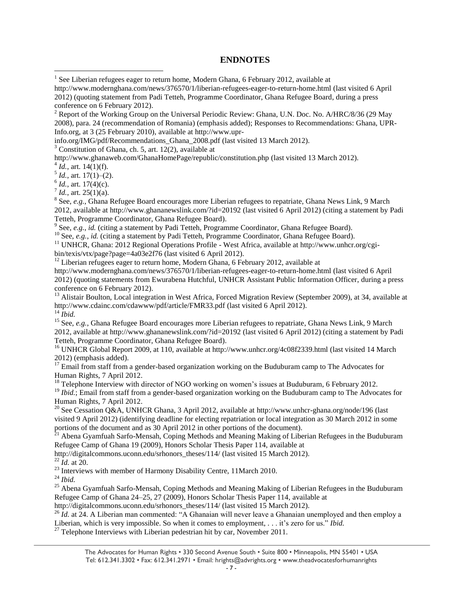#### **ENDNOTES**

http://www.modernghana.com/news/376570/1/liberian-refugees-eager-to-return-home.html (last visited 6 April 2012) (quoting statement from Padi Tetteh, Programme Coordinator, Ghana Refugee Board, during a press conference on 6 February 2012).

<sup>2</sup> Report of the Working Group on the Universal Periodic Review: Ghana, U.N. Doc. No. A/HRC/8/36 (29 May 2008), para. 24 (recommendation of Romania) (emphasis added); Responses to Recommendations: Ghana, UPR-Info.org, at 3 (25 February 2010), available at http://www.upr-

info.org/IMG/pdf/Recommendations\_Ghana\_2008.pdf (last visited 13 March 2012).

 $3$  Constitution of Ghana, ch. 5, art. 12(2), available at

http://www.ghanaweb.com/GhanaHomePage/republic/constitution.php (last visited 13 March 2012).

 $4\overline{Id}$ ., art. 14(1)(f).

 $\overline{a}$ 

 $<sup>5</sup> Id.,$  art. 17(1)–(2).</sup>

 $^6$  *Id.*, art. 17(4)(c).

 $^7$  *Id.*, art. 25(1)(a).

<sup>8</sup> See, *e.g.*, Ghana Refugee Board encourages more Liberian refugees to repatriate, Ghana News Link, 9 March 2012, available at http://www.ghananewslink.com/?id=20192 (last visited 6 April 2012) (citing a statement by Padi Tetteh, Programme Coordinator, Ghana Refugee Board).

<sup>9</sup> See, *e.g.*, *id.* (citing a statement by Padi Tetteh, Programme Coordinator, Ghana Refugee Board).

<sup>10</sup> See, *e.g.*, *id.* (citing a statement by Padi Tetteh, Programme Coordinator, Ghana Refugee Board).

<sup>11</sup> UNHCR, Ghana: 2012 Regional Operations Profile - West Africa, available at http://www.unhcr.org/cgibin/texis/vtx/page?page=4a03e2f76 (last visited 6 April 2012).

 $12$  Liberian refugees eager to return home, Modern Ghana, 6 February 2012, available at

http://www.modernghana.com/news/376570/1/liberian-refugees-eager-to-return-home.html (last visited 6 April 2012) (quoting statements from Ewurabena Hutchful, UNHCR Assistant Public Information Officer, during a press conference on 6 February 2012).

<sup>13</sup> Alistair Boulton, Local integration in West Africa, Forced Migration Review (September 2009), at 34, available at http://www.cdainc.com/cdawww/pdf/article/FMR33.pdf (last visited 6 April 2012). <sup>14</sup> *Ibid.*

<sup>15</sup> See, *e.g.*, Ghana Refugee Board encourages more Liberian refugees to repatriate, Ghana News Link, 9 March 2012, available at http://www.ghananewslink.com/?id=20192 (last visited 6 April 2012) (citing a statement by Padi Tetteh, Programme Coordinator, Ghana Refugee Board).

<sup>16</sup> UNHCR Global Report 2009, at 110, available at http://www.unhcr.org/4c08f2339.html (last visited 14 March 2012) (emphasis added).

<sup>17</sup> Email from staff from a gender-based organization working on the Buduburam camp to The Advocates for Human Rights, 7 April 2012.

<sup>18</sup> Telephone Interview with director of NGO working on women's issues at Buduburam, 6 February 2012.

<sup>19</sup> *Ibid.*; Email from staff from a gender-based organization working on the Buduburam camp to The Advocates for Human Rights, 7 April 2012.

<sup>20</sup> See Cessation Q&A, UNHCR Ghana, 3 April 2012, available at http://www.unhcr-ghana.org/node/196 (last visited 9 April 2012) (identifying deadline for electing repatriation or local integration as 30 March 2012 in some portions of the document and as 30 April 2012 in other portions of the document).

<sup>21</sup> Abena Gyamfuah Sarfo-Mensah, Coping Methods and Meaning Making of Liberian Refugees in the Buduburam Refugee Camp of Ghana 19 (2009), Honors Scholar Thesis Paper 114, available at

http://digitalcommons.uconn.edu/srhonors\_theses/114/ (last visited 15 March 2012).

 $^{22}$  *Id.* at 20.

<sup>23</sup> Interviews with member of Harmony Disability Centre, 11March 2010.

<sup>24</sup> *Ibid.*

<sup>25</sup> Abena Gyamfuah Sarfo-Mensah, Coping Methods and Meaning Making of Liberian Refugees in the Buduburam Refugee Camp of Ghana 24–25, 27 (2009), Honors Scholar Thesis Paper 114, available at

http://digitalcommons.uconn.edu/srhonors\_theses/114/ (last visited 15 March 2012).

<sup>26</sup> *Id.* at 24. A Liberian man commented: "A Ghanaian will never leave a Ghanaian unemployed and then employ a Liberian, which is very impossible. So when it comes to employment, . . . it's zero for us." *Ibid.* 

 $^{27}$  Telephone Interviews with Liberian pedestrian hit by car, November 2011.

<sup>&</sup>lt;sup>1</sup> See Liberian refugees eager to return home, Modern Ghana, 6 February 2012, available at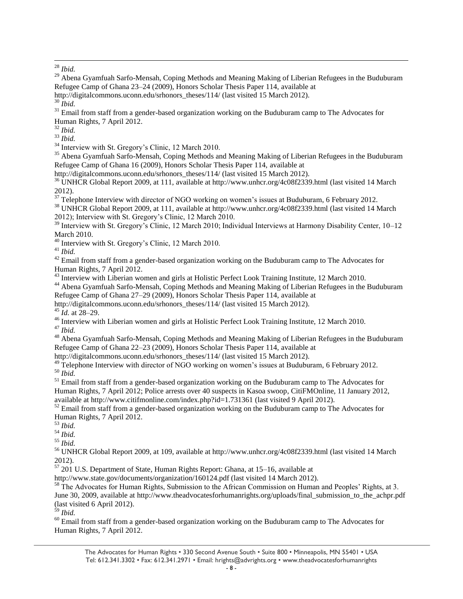<sup>29</sup> Abena Gyamfuah Sarfo-Mensah, Coping Methods and Meaning Making of Liberian Refugees in the Buduburam Refugee Camp of Ghana 23–24 (2009), Honors Scholar Thesis Paper 114, available at

http://digitalcommons.uconn.edu/srhonors\_theses/114/ (last visited 15 March 2012).

<sup>30</sup> *Ibid.*

<sup>31</sup> Email from staff from a gender-based organization working on the Buduburam camp to The Advocates for Human Rights, 7 April 2012.

<sup>32</sup> *Ibid.*

<sup>33</sup> *Ibid.*

<sup>34</sup> Interview with St. Gregory's Clinic, 12 March 2010.

<sup>35</sup> Abena Gyamfuah Sarfo-Mensah, Coping Methods and Meaning Making of Liberian Refugees in the Buduburam Refugee Camp of Ghana 16 (2009), Honors Scholar Thesis Paper 114, available at

http://digitalcommons.uconn.edu/srhonors\_theses/114/ (last visited 15 March 2012).

<sup>36</sup> UNHCR Global Report 2009, at 111, available at http://www.unhcr.org/4c08f2339.html (last visited 14 March 2012).

 $37$  Telephone Interview with director of NGO working on women's issues at Buduburam, 6 February 2012.

<sup>38</sup> UNHCR Global Report 2009, at 111, available at http://www.unhcr.org/4c08f2339.html (last visited 14 March 2012); Interview with St. Gregory's Clinic, 12 March 2010.

<sup>39</sup> Interview with St. Gregory's Clinic, 12 March 2010; Individual Interviews at Harmony Disability Center, 10–12 March 2010.

<sup>40</sup> Interview with St. Gregory's Clinic, 12 March 2010.

<sup>41</sup> *Ibid.*

 $42$  Email from staff from a gender-based organization working on the Buduburam camp to The Advocates for Human Rights, 7 April 2012.

<sup>43</sup> Interview with Liberian women and girls at Holistic Perfect Look Training Institute, 12 March 2010.

<sup>44</sup> Abena Gyamfuah Sarfo-Mensah, Coping Methods and Meaning Making of Liberian Refugees in the Buduburam Refugee Camp of Ghana 27–29 (2009), Honors Scholar Thesis Paper 114, available at

http://digitalcommons.uconn.edu/srhonors\_theses/114/ (last visited 15 March 2012).

<sup>45</sup> *Id.* at 28–29.

<sup>46</sup> Interview with Liberian women and girls at Holistic Perfect Look Training Institute, 12 March 2010.

<sup>47</sup> *Ibid.*

<sup>48</sup> Abena Gyamfuah Sarfo-Mensah, Coping Methods and Meaning Making of Liberian Refugees in the Buduburam Refugee Camp of Ghana 22–23 (2009), Honors Scholar Thesis Paper 114, available at

http://digitalcommons.uconn.edu/srhonors\_theses/114/ (last visited 15 March 2012).

 $49$  Telephone Interview with director of NGO working on women's issues at Buduburam, 6 February 2012. <sup>50</sup> *Ibid.*

<sup>51</sup> Email from staff from a gender-based organization working on the Buduburam camp to The Advocates for Human Rights, 7 April 2012; Police arrests over 40 suspects in Kasoa swoop, CitiFMOnline, 11 January 2012, available at http://www.citifmonline.com/index.php?id=1.731361 (last visited 9 April 2012).

 $52$  Email from staff from a gender-based organization working on the Buduburam camp to The Advocates for Human Rights, 7 April 2012.

<sup>53</sup> *Ibid.*

<sup>54</sup> *Ibid.*

<sup>55</sup> *Ibid.*

<sup>56</sup> UNHCR Global Report 2009, at 109, available at http://www.unhcr.org/4c08f2339.html (last visited 14 March 2012).

<sup>57</sup> 201 U.S. Department of State, Human Rights Report: Ghana, at 15–16, available at

http://www.state.gov/documents/organization/160124.pdf (last visited 14 March 2012).

<sup>58</sup> The Advocates for Human Rights, Submission to the African Commission on Human and Peoples' Rights, at 3. June 30, 2009, available at http://www.theadvocatesforhumanrights.org/uploads/final\_submission\_to\_the\_achpr.pdf (last visited 6 April 2012).

<sup>59</sup> *Ibid.*

 $60$  Email from staff from a gender-based organization working on the Buduburam camp to The Advocates for Human Rights, 7 April 2012.

 $\overline{a}$ <sup>28</sup> *Ibid.*